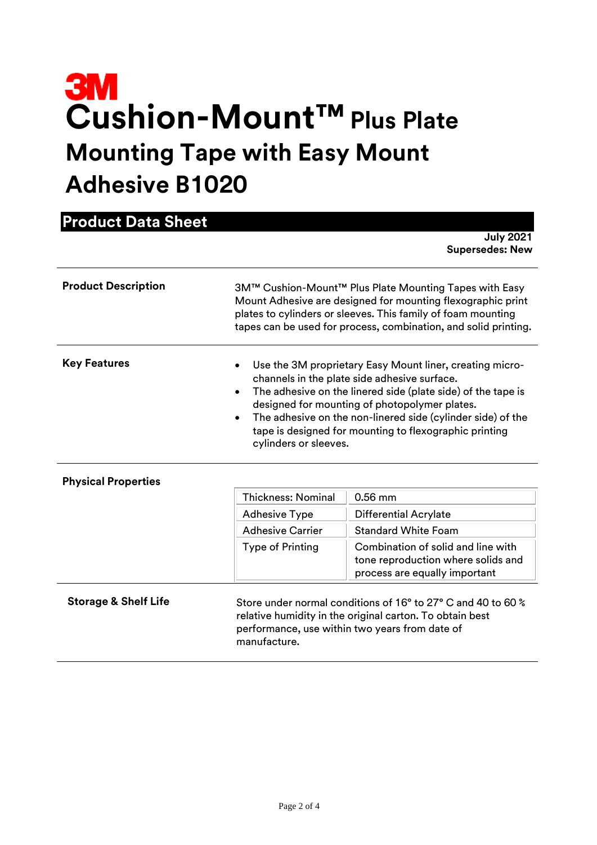# **Cushion-Mount™Plus Plate Mounting Tape with Easy Mount Adhesive B1020**

| <b>Product Data Sheet</b>       |                                                                                                                                                                                                                                                                                                                                                                             |                                                                                                                                                                            |  |
|---------------------------------|-----------------------------------------------------------------------------------------------------------------------------------------------------------------------------------------------------------------------------------------------------------------------------------------------------------------------------------------------------------------------------|----------------------------------------------------------------------------------------------------------------------------------------------------------------------------|--|
|                                 |                                                                                                                                                                                                                                                                                                                                                                             | <b>July 2021</b><br><b>Supersedes: New</b>                                                                                                                                 |  |
| <b>Product Description</b>      | 3M™ Cushion-Mount™ Plus Plate Mounting Tapes with Easy<br>Mount Adhesive are designed for mounting flexographic print<br>plates to cylinders or sleeves. This family of foam mounting<br>tapes can be used for process, combination, and solid printing.                                                                                                                    |                                                                                                                                                                            |  |
| <b>Key Features</b>             | Use the 3M proprietary Easy Mount liner, creating micro-<br>channels in the plate side adhesive surface.<br>The adhesive on the linered side (plate side) of the tape is<br>designed for mounting of photopolymer plates.<br>The adhesive on the non-linered side (cylinder side) of the<br>tape is designed for mounting to flexographic printing<br>cylinders or sleeves. |                                                                                                                                                                            |  |
| <b>Physical Properties</b>      |                                                                                                                                                                                                                                                                                                                                                                             |                                                                                                                                                                            |  |
|                                 | <b>Thickness: Nominal</b>                                                                                                                                                                                                                                                                                                                                                   | $0.56$ mm                                                                                                                                                                  |  |
|                                 | <b>Adhesive Type</b>                                                                                                                                                                                                                                                                                                                                                        | <b>Differential Acrylate</b>                                                                                                                                               |  |
|                                 | <b>Adhesive Carrier</b>                                                                                                                                                                                                                                                                                                                                                     | <b>Standard White Foam</b>                                                                                                                                                 |  |
|                                 | <b>Type of Printing</b>                                                                                                                                                                                                                                                                                                                                                     | Combination of solid and line with<br>tone reproduction where solids and<br>process are equally important                                                                  |  |
| <b>Storage &amp; Shelf Life</b> | manufacture.                                                                                                                                                                                                                                                                                                                                                                | Store under normal conditions of 16° to 27° C and 40 to 60 %<br>relative humidity in the original carton. To obtain best<br>performance, use within two years from date of |  |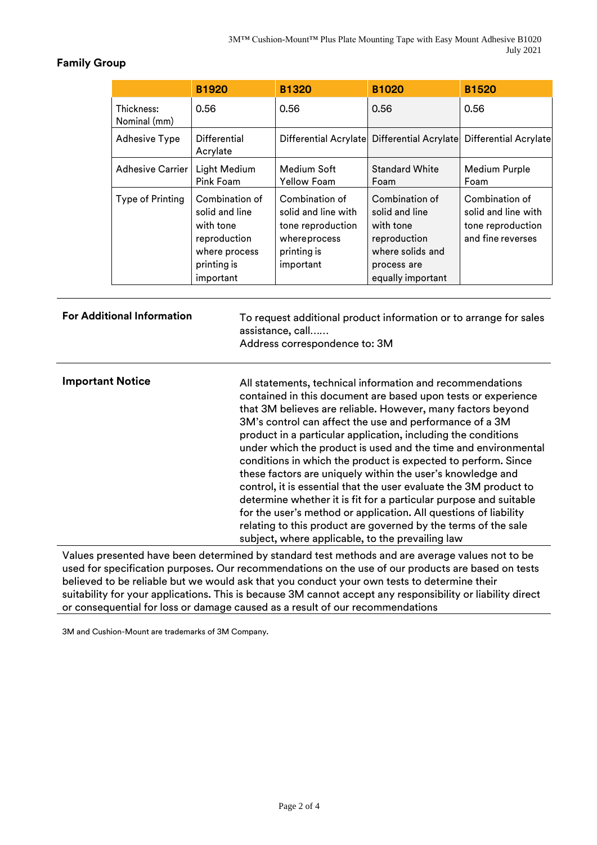## **Family Group**

|                            | <b>B1920</b>                                                                                               | <b>B1320</b>                                                                                           | <b>B1020</b>                                                                                                          | <b>B1520</b>                                                                    |
|----------------------------|------------------------------------------------------------------------------------------------------------|--------------------------------------------------------------------------------------------------------|-----------------------------------------------------------------------------------------------------------------------|---------------------------------------------------------------------------------|
| Thickness:<br>Nominal (mm) | 0.56                                                                                                       | 0.56                                                                                                   | 0.56                                                                                                                  | 0.56                                                                            |
| <b>Adhesive Type</b>       | Differential<br>Acrylate                                                                                   |                                                                                                        |                                                                                                                       | Differential Acrylate Differential Acrylate Differential Acrylate               |
| <b>Adhesive Carrier</b>    | Light Medium<br>Pink Foam                                                                                  | Medium Soft<br><b>Yellow Foam</b>                                                                      | <b>Standard White</b><br>Foam                                                                                         | Medium Purple<br>Foam                                                           |
| Type of Printing           | Combination of<br>solid and line<br>with tone<br>reproduction<br>where process<br>printing is<br>important | Combination of<br>solid and line with<br>tone reproduction<br>whereprocess<br>printing is<br>important | Combination of<br>solid and line<br>with tone<br>reproduction<br>where solids and<br>process are<br>equally important | Combination of<br>solid and line with<br>tone reproduction<br>and fine reverses |

| <b>For Additional Information</b> | To request additional product information or to arrange for sales<br>assistance, call<br>Address correspondence to: 3M                                                                                                                                                                                                                                                                                                                                                                                                                                                                                                                                                                                                                                                                                                                                     |
|-----------------------------------|------------------------------------------------------------------------------------------------------------------------------------------------------------------------------------------------------------------------------------------------------------------------------------------------------------------------------------------------------------------------------------------------------------------------------------------------------------------------------------------------------------------------------------------------------------------------------------------------------------------------------------------------------------------------------------------------------------------------------------------------------------------------------------------------------------------------------------------------------------|
| <b>Important Notice</b>           | All statements, technical information and recommendations<br>contained in this document are based upon tests or experience<br>that 3M believes are reliable. However, many factors beyond<br>3M's control can affect the use and performance of a 3M<br>product in a particular application, including the conditions<br>under which the product is used and the time and environmental<br>conditions in which the product is expected to perform. Since<br>these factors are uniquely within the user's knowledge and<br>control, it is essential that the user evaluate the 3M product to<br>determine whether it is fit for a particular purpose and suitable<br>for the user's method or application. All questions of liability<br>relating to this product are governed by the terms of the sale<br>subject, where applicable, to the prevailing law |
| . . <i>.</i>                      | .                                                                                                                                                                                                                                                                                                                                                                                                                                                                                                                                                                                                                                                                                                                                                                                                                                                          |

Values presented have been determined by standard test methods and are average values not to be used for specification purposes. Our recommendations on the use of our products are based on tests believed to be reliable but we would ask that you conduct your own tests to determine their suitability for your applications. This is because 3M cannot accept any responsibility or liability direct or consequential for loss or damage caused as a result of our recommendations

3M and Cushion-Mount are trademarks of 3M Company.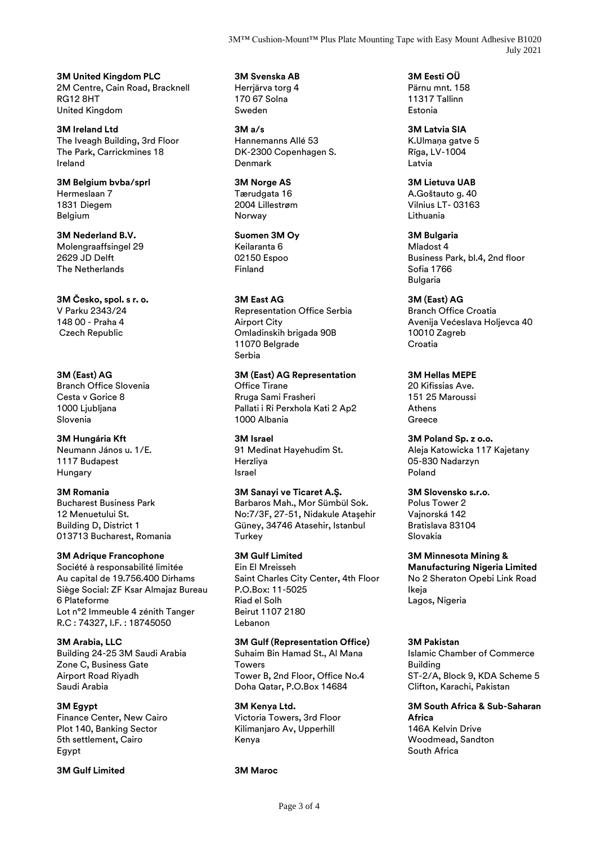3M™ Cushion-Mount™ Plus Plate Mounting Tape with Easy Mount Adhesive B1020 July 2021

**3M United Kingdom PLC** 2M Centre, Cain Road, Bracknell RG12 8HT United Kingdom

**3M Ireland Ltd** The Iveagh Building, 3rd Floor The Park, Carrickmines 18 Ireland

**3M Belgium bvba/sprl** Hermeslaan 7 1831 Diegem Belgium

**3M Nederland B.V.** Molengraaffsingel 29 2629 JD Delft The Netherlands

**3M Česko, spol. s r. o.** V Parku 2343/24 148 00 - Praha 4 Czech Republic

**3M (East) AG** Branch Office Slovenia Cesta v Gorice 8 1000 Ljubljana Slovenia

**3M Hungária Kft** Neumann János u. 1/E. 1117 Budapest Hungary

**3M Romania** Bucharest Business Park 12 Menuetului St. Building D, District 1 013713 Bucharest, Romania

**3M Adrique Francophone**

Société à responsabilité limitée Au capital de 19.756.400 Dirhams Siège Social: ZF Ksar Almajaz Bureau 6 Plateforme Lot n°2 Immeuble 4 zénith Tanger R.C : 74327, I.F. : 18745050

**3M Arabia, LLC** Building 24-25 3M Saudi Arabia Zone C, Business Gate Airport Road Riyadh Saudi Arabia

### **3M Egypt**

Finance Center, New Cairo Plot 140, Banking Sector 5th settlement, Cairo Egypt

**3M Gulf Limited 3M Maroc**

**3M Svenska AB** Herrjärva torg 4 170 67 Solna Sweden

**3M a/s** Hannemanns Allé 53 DK-2300 Copenhagen S. Denmark

**3M Norge AS** Tærudgata 16 2004 Lillestrøm Norway

**Suomen 3M Oy** Keilaranta 6 02150 Espoo Finland

**3M East AG** Representation Office Serbia Airport City Omladinskih brigada 90B 11070 Belgrade Serbia

**3M (East) AG Representation** Office Tirane Rruga Sami Frasheri Pallati i Ri Perxhola Kati 2 Ap2 1000 Albania

**3M Israel** 91 Medinat Hayehudim St. Herzliya Israel

**3M Sanayi ve Ticaret A.Ş.** Barbaros Mah., Mor Sümbül Sok. No:7/3F, 27-51, Nidakule Ataşehir Güney, 34746 Atasehir, Istanbul **Turkey** 

**3M Gulf Limited** Ein El Mreisseh Saint Charles City Center, 4th Floor P.O.Box: 11-5025 Riad el Solh Beirut 1107 2180 Lebanon

**3M Gulf (Representation Office)**

Suhaim Bin Hamad St., Al Mana Towers Tower B, 2nd Floor, Office No.4 Doha Qatar, P.O.Box 14684

**3M Kenya Ltd.** Victoria Towers, 3rd Floor Kilimanjaro Av, Upperhill Kenya

**3M Eesti OÜ** Pärnu mnt. 158 11317 Tallinn Estonia

**3M Latvia SIA** K.Ulmana gatve 5 Rīga, LV-1004 Latvia

**3M Lietuva UAB** A.Goštauto g. 40 Vilnius LT- 03163 Lithuania

**3M Bulgaria**

Mladost 4 Business Park, bl.4, 2nd floor Sofia 1766 Bulgaria

**3M (East) AG**

Branch Office Croatia Avenija Većeslava Holjevca 40 10010 Zagreb Croatia

**3M Hellas MEPE**

20 Kifissias Ave. 151 25 Maroussi Athens **Greece** 

**3M Poland Sp. z o.o.** Aleja Katowicka 117 Kajetany 05-830 Nadarzyn Poland

**3M Slovensko s.r.o**. Polus Tower 2 Vajnorská 142 Bratislava 83104 Slovakia

**3M Minnesota Mining & Manufacturing Nigeria Limited** No 2 Sheraton Opebi Link Road Ikeja Lagos, Nigeria

#### **3M Pakistan**

Islamic Chamber of Commerce Building ST-2/A, Block 9, KDA Scheme 5 Clifton, Karachi, Pakistan

**3M South Africa & Sub-Saharan Africa** 146A Kelvin Drive Woodmead, Sandton

South Africa